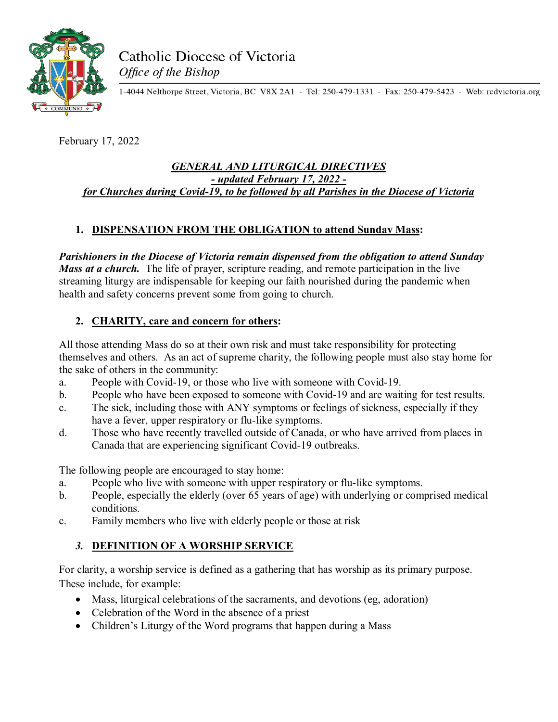

1-4044 Nelthorpe Street, Victoria, BC V8X 2A1 - Tel: 250-479-1331 - Fax: 250-479-5423 - Web: redvictoria.org

February 17, 2022

#### *GENERAL AND LITURGICAL DIRECTIVES - updated February 17, 2022 for Churches during Covid-19, to be followed by all Parishes in the Diocese of Victoria*

# **1. DISPENSATION FROM THE OBLIGATION to attend Sunday Mass:**

*Parishioners in the Diocese of Victoria remain dispensed from the obligation to attend Sunday Mass at a church*. The life of prayer, scripture reading, and remote participation in the live streaming liturgy are indispensable for keeping our faith nourished during the pandemic when health and safety concerns prevent some from going to church.

## **2. CHARITY, care and concern for others:**

All those attending Mass do so at their own risk and must take responsibility for protecting themselves and others. As an act of supreme charity, the following people must also stay home for the sake of others in the community:

- a. People with Covid-19, or those who live with someone with Covid-19.
- b. People who have been exposed to someone with Covid-19 and are waiting for test results.
- c. The sick, including those with ANY symptoms or feelings of sickness, especially if they have a fever, upper respiratory or flu-like symptoms.
- d. Those who have recently travelled outside of Canada, or who have arrived from places in Canada that are experiencing significant Covid-19 outbreaks.

The following people are encouraged to stay home:

- a. People who live with someone with upper respiratory or flu-like symptoms.
- b. People, especially the elderly (over 65 years of age) with underlying or comprised medical conditions.
- c. Family members who live with elderly people or those at risk

# *3.* **DEFINITION OF A WORSHIP SERVICE**

For clarity, a worship service is defined as a gathering that has worship as its primary purpose. These include, for example:

- Mass, liturgical celebrations of the sacraments, and devotions (eg, adoration)
- Celebration of the Word in the absence of a priest
- Children's Liturgy of the Word programs that happen during a Mass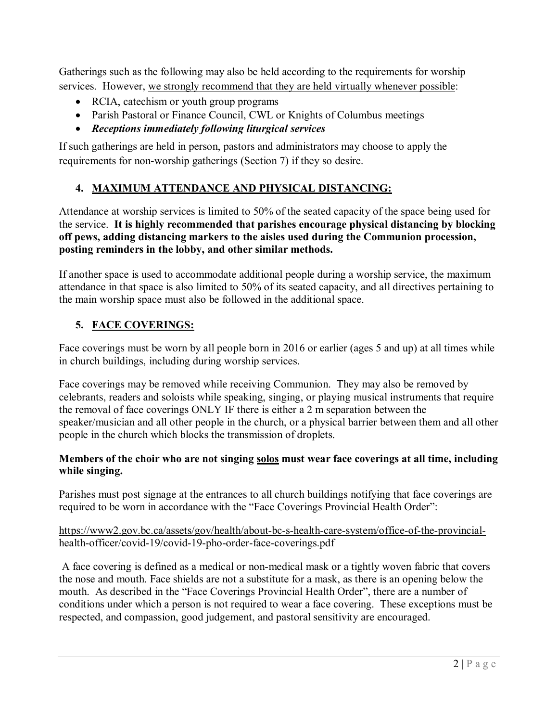Gatherings such as the following may also be held according to the requirements for worship services. However, we strongly recommend that they are held virtually whenever possible:

- RCIA, catechism or youth group programs
- Parish Pastoral or Finance Council, CWL or Knights of Columbus meetings
- *Receptions immediately following liturgical services*

If such gatherings are held in person, pastors and administrators may choose to apply the requirements for non-worship gatherings (Section 7) if they so desire.

# **4. MAXIMUM ATTENDANCE AND PHYSICAL DISTANCING:**

Attendance at worship services is limited to 50% of the seated capacity of the space being used for the service. **It is highly recommended that parishes encourage physical distancing by blocking off pews, adding distancing markers to the aisles used during the Communion procession, posting reminders in the lobby, and other similar methods.**

If another space is used to accommodate additional people during a worship service, the maximum attendance in that space is also limited to 50% of its seated capacity, and all directives pertaining to the main worship space must also be followed in the additional space.

# **5. FACE COVERINGS:**

Face coverings must be worn by all people born in 2016 or earlier (ages 5 and up) at all times while in church buildings, including during worship services.

Face coverings may be removed while receiving Communion. They may also be removed by celebrants, readers and soloists while speaking, singing, or playing musical instruments that require the removal of face coverings ONLY IF there is either a 2 m separation between the speaker/musician and all other people in the church, or a physical barrier between them and all other people in the church which blocks the transmission of droplets.

## **Members of the choir who are not singing solos must wear face coverings at all time, including while singing.**

Parishes must post signage at the entrances to all church buildings notifying that face coverings are required to be worn in accordance with the "Face Coverings Provincial Health Order":

#### https://www2.gov.bc.ca/assets/gov/health/about-bc-s-health-care-system/office-of-the-provincialhealth-officer/covid-19/covid-19-pho-order-face-coverings.pdf

A face covering is defined as a medical or non-medical mask or a tightly woven fabric that covers the nose and mouth. Face shields are not a substitute for a mask, as there is an opening below the mouth. As described in the "Face Coverings Provincial Health Order", there are a number of conditions under which a person is not required to wear a face covering. These exceptions must be respected, and compassion, good judgement, and pastoral sensitivity are encouraged.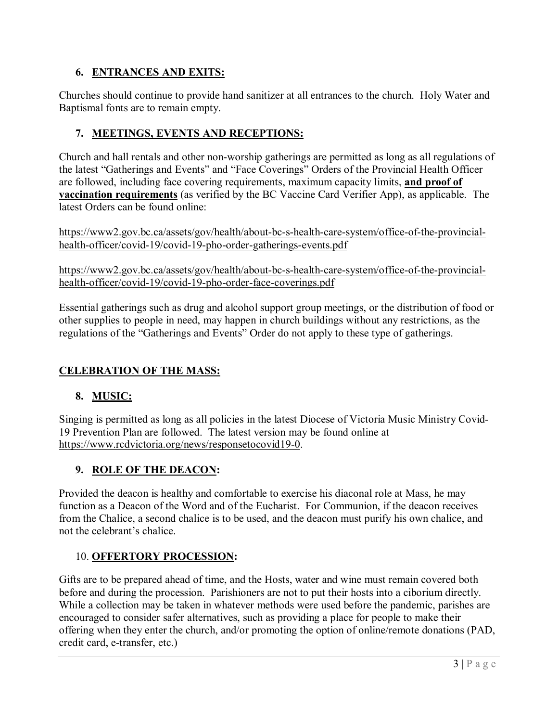## **6. ENTRANCES AND EXITS:**

Churches should continue to provide hand sanitizer at all entrances to the church. Holy Water and Baptismal fonts are to remain empty.

## **7. MEETINGS, EVENTS AND RECEPTIONS:**

Church and hall rentals and other non-worship gatherings are permitted as long as all regulations of the latest "Gatherings and Events" and "Face Coverings" Orders of the Provincial Health Officer are followed, including face covering requirements, maximum capacity limits, **and proof of vaccination requirements** (as verified by the BC Vaccine Card Verifier App), as applicable. The latest Orders can be found online:

https://www2.gov.bc.ca/assets/gov/health/about-bc-s-health-care-system/office-of-the-provincialhealth-officer/covid-19/covid-19-pho-order-gatherings-events.pdf

https://www2.gov.bc.ca/assets/gov/health/about-bc-s-health-care-system/office-of-the-provincialhealth-officer/covid-19/covid-19-pho-order-face-coverings.pdf

Essential gatherings such as drug and alcohol support group meetings, or the distribution of food or other supplies to people in need, may happen in church buildings without any restrictions, as the regulations of the "Gatherings and Events" Order do not apply to these type of gatherings.

## **CELEBRATION OF THE MASS:**

#### **8. MUSIC:**

Singing is permitted as long as all policies in the latest Diocese of Victoria Music Ministry Covid-19 Prevention Plan are followed. The latest version may be found online at https://www.rcdvictoria.org/news/responsetocovid19-0.

## **9. ROLE OF THE DEACON:**

Provided the deacon is healthy and comfortable to exercise his diaconal role at Mass, he may function as a Deacon of the Word and of the Eucharist. For Communion, if the deacon receives from the Chalice, a second chalice is to be used, and the deacon must purify his own chalice, and not the celebrant's chalice.

#### 10. **OFFERTORY PROCESSION:**

Gifts are to be prepared ahead of time, and the Hosts, water and wine must remain covered both before and during the procession. Parishioners are not to put their hosts into a ciborium directly. While a collection may be taken in whatever methods were used before the pandemic, parishes are encouraged to consider safer alternatives, such as providing a place for people to make their offering when they enter the church, and/or promoting the option of online/remote donations (PAD, credit card, e-transfer, etc.)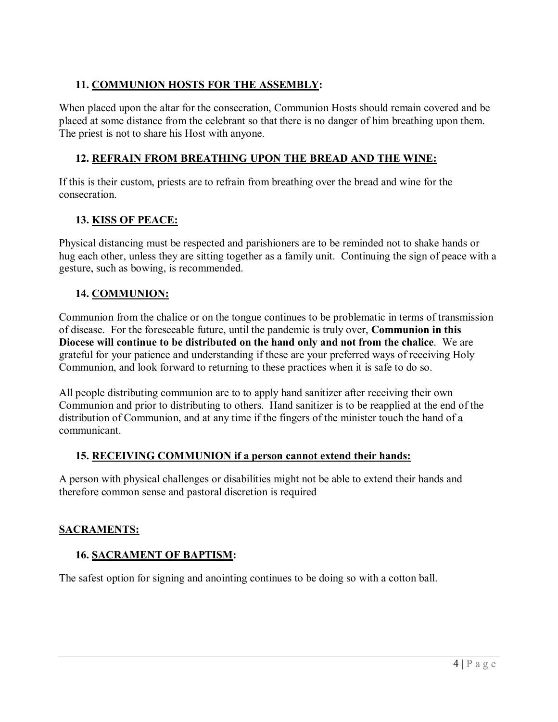## **11. COMMUNION HOSTS FOR THE ASSEMBLY:**

When placed upon the altar for the consecration, Communion Hosts should remain covered and be placed at some distance from the celebrant so that there is no danger of him breathing upon them. The priest is not to share his Host with anyone.

## **12. REFRAIN FROM BREATHING UPON THE BREAD AND THE WINE:**

If this is their custom, priests are to refrain from breathing over the bread and wine for the consecration.

#### **13. KISS OF PEACE:**

Physical distancing must be respected and parishioners are to be reminded not to shake hands or hug each other, unless they are sitting together as a family unit. Continuing the sign of peace with a gesture, such as bowing, is recommended.

#### **14. COMMUNION:**

Communion from the chalice or on the tongue continues to be problematic in terms of transmission of disease. For the foreseeable future, until the pandemic is truly over, **Communion in this Diocese will continue to be distributed on the hand only and not from the chalice**. We are grateful for your patience and understanding if these are your preferred ways of receiving Holy Communion, and look forward to returning to these practices when it is safe to do so.

All people distributing communion are to to apply hand sanitizer after receiving their own Communion and prior to distributing to others. Hand sanitizer is to be reapplied at the end of the distribution of Communion, and at any time if the fingers of the minister touch the hand of a communicant.

#### **15. RECEIVING COMMUNION if a person cannot extend their hands:**

A person with physical challenges or disabilities might not be able to extend their hands and therefore common sense and pastoral discretion is required

#### **SACRAMENTS:**

#### **16. SACRAMENT OF BAPTISM:**

The safest option for signing and anointing continues to be doing so with a cotton ball.